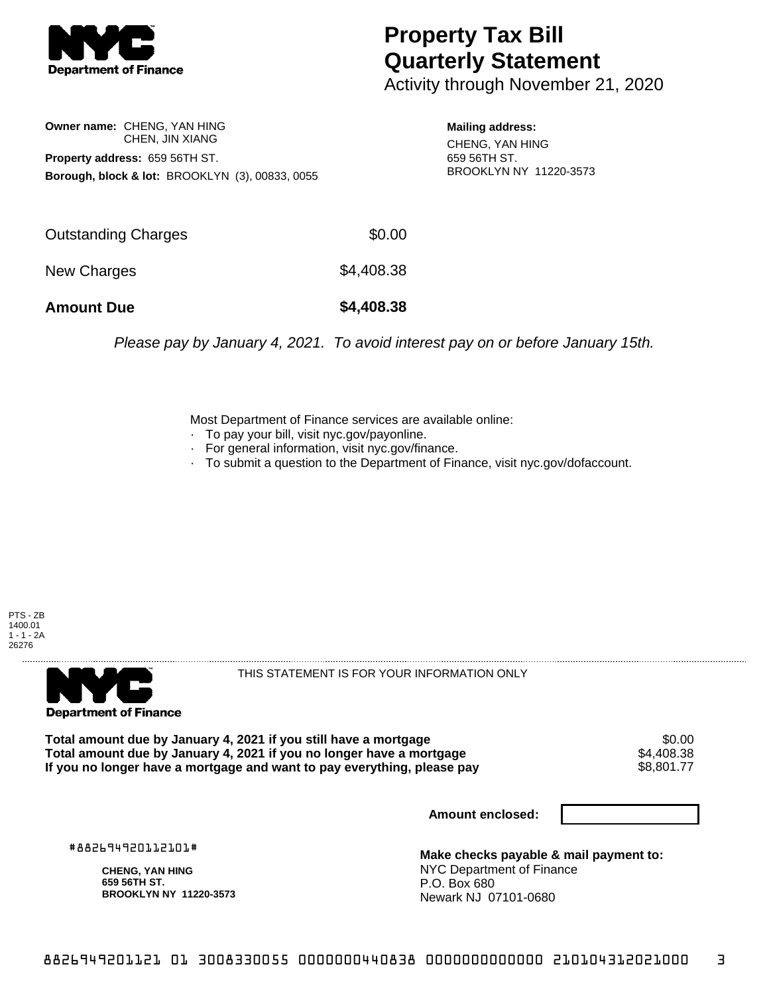

## **Property Tax Bill Quarterly Statement**

Activity through November 21, 2020

**Owner name:** CHENG, YAN HING CHEN, JIN XIANG **Property address:** 659 56TH ST. **Borough, block & lot:** BROOKLYN (3), 00833, 0055

**Mailing address:** CHENG, YAN HING 659 56TH ST. BROOKLYN NY 11220-3573

| <b>Amount Due</b>   | \$4,408.38 |
|---------------------|------------|
| New Charges         | \$4,408.38 |
| Outstanding Charges | \$0.00     |

Please pay by January 4, 2021. To avoid interest pay on or before January 15th.

Most Department of Finance services are available online:

- · To pay your bill, visit nyc.gov/payonline.
- For general information, visit nyc.gov/finance.
- · To submit a question to the Department of Finance, visit nyc.gov/dofaccount.





THIS STATEMENT IS FOR YOUR INFORMATION ONLY

Total amount due by January 4, 2021 if you still have a mortgage \$0.00<br>Total amount due by January 4, 2021 if you no longer have a mortgage \$4.408.38 **Total amount due by January 4, 2021 if you no longer have a mortgage**  $$4,408.38$ **<br>If you no longer have a mortgage and want to pay everything, please pay <b>show that the summan show that the s**8.801.77 If you no longer have a mortgage and want to pay everything, please pay

**Amount enclosed:**

#882694920112101#

**CHENG, YAN HING 659 56TH ST. BROOKLYN NY 11220-3573**

**Make checks payable & mail payment to:** NYC Department of Finance P.O. Box 680 Newark NJ 07101-0680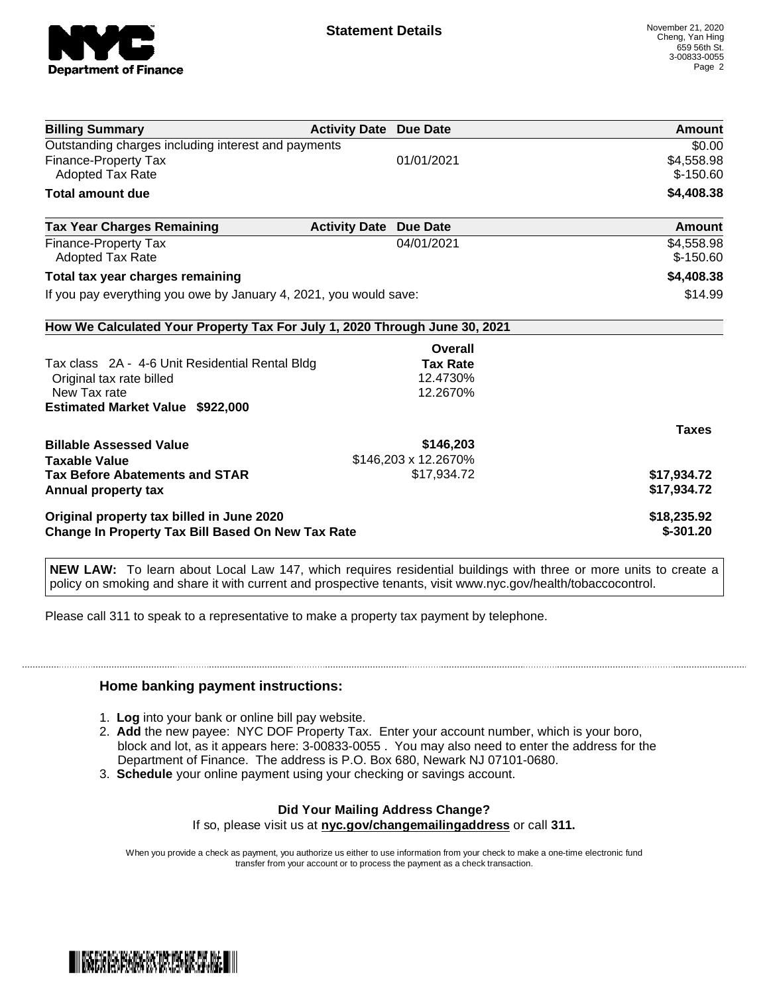

| <b>Billing Summary</b>                                                     | <b>Activity Date Due Date</b> |                      | Amount       |
|----------------------------------------------------------------------------|-------------------------------|----------------------|--------------|
| Outstanding charges including interest and payments                        |                               |                      | \$0.00       |
| Finance-Property Tax                                                       |                               | 01/01/2021           | \$4,558.98   |
| Adopted Tax Rate                                                           |                               |                      | $$-150.60$   |
| <b>Total amount due</b>                                                    |                               |                      | \$4,408.38   |
| <b>Tax Year Charges Remaining</b>                                          | <b>Activity Date</b>          | <b>Due Date</b>      | Amount       |
| Finance-Property Tax                                                       |                               | 04/01/2021           | \$4,558.98   |
| Adopted Tax Rate                                                           |                               |                      | $$-150.60$   |
| Total tax year charges remaining                                           |                               |                      | \$4,408.38   |
| If you pay everything you owe by January 4, 2021, you would save:          |                               |                      | \$14.99      |
| How We Calculated Your Property Tax For July 1, 2020 Through June 30, 2021 |                               |                      |              |
|                                                                            |                               | Overall              |              |
| Tax class 2A - 4-6 Unit Residential Rental Bldg                            |                               | <b>Tax Rate</b>      |              |
| Original tax rate billed                                                   |                               | 12.4730%             |              |
| New Tax rate                                                               |                               | 12.2670%             |              |
| Estimated Market Value \$922,000                                           |                               |                      |              |
|                                                                            |                               |                      | <b>Taxes</b> |
| <b>Billable Assessed Value</b>                                             |                               | \$146,203            |              |
| <b>Taxable Value</b>                                                       |                               | \$146,203 x 12.2670% |              |
| <b>Tax Before Abatements and STAR</b>                                      |                               | \$17,934.72          | \$17,934.72  |
| Annual property tax                                                        |                               |                      | \$17,934.72  |
| Original property tax billed in June 2020                                  |                               |                      | \$18,235.92  |
| <b>Change In Property Tax Bill Based On New Tax Rate</b>                   |                               |                      | $$-301.20$   |

**NEW LAW:** To learn about Local Law 147, which requires residential buildings with three or more units to create a policy on smoking and share it with current and prospective tenants, visit www.nyc.gov/health/tobaccocontrol.

Please call 311 to speak to a representative to make a property tax payment by telephone.

## **Home banking payment instructions:**

- 1. **Log** into your bank or online bill pay website.
- 2. **Add** the new payee: NYC DOF Property Tax. Enter your account number, which is your boro, block and lot, as it appears here: 3-00833-0055 . You may also need to enter the address for the Department of Finance. The address is P.O. Box 680, Newark NJ 07101-0680.
- 3. **Schedule** your online payment using your checking or savings account.

## **Did Your Mailing Address Change?**

If so, please visit us at **nyc.gov/changemailingaddress** or call **311.**

When you provide a check as payment, you authorize us either to use information from your check to make a one-time electronic fund transfer from your account or to process the payment as a check transaction.